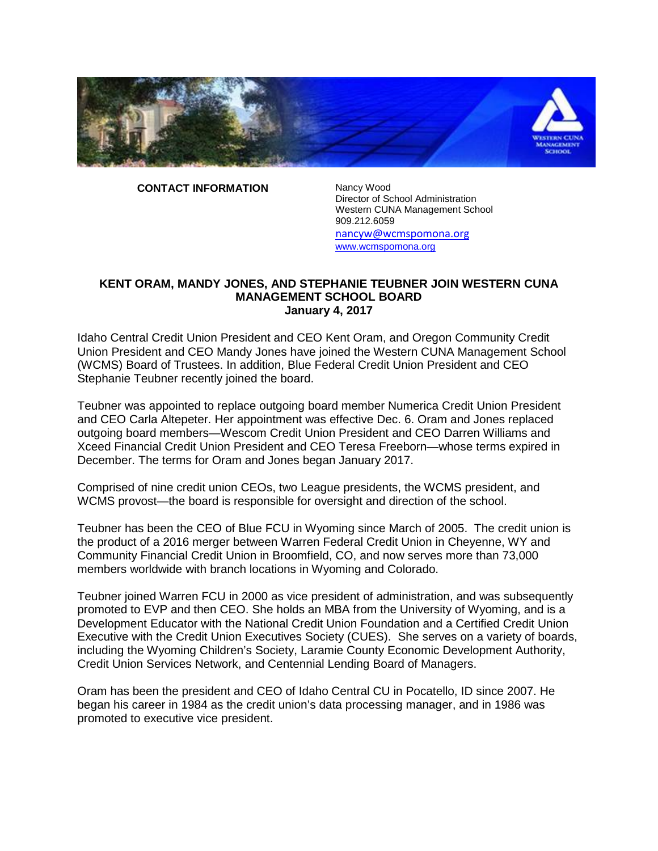

**CONTACT INFORMATION** Nancy Wood

Director of School Administration Western CUNA Management School 909.212.6059 [nancyw@wcmspomona.org](mailto:nancyw@wcmspomona.org) [www.wcmspomona.org](http://www.wcmspomona.org/)

## **KENT ORAM, MANDY JONES, AND STEPHANIE TEUBNER JOIN WESTERN CUNA MANAGEMENT SCHOOL BOARD January 4, 2017**

Idaho Central Credit Union President and CEO Kent Oram, and Oregon Community Credit Union President and CEO Mandy Jones have joined the Western CUNA Management School (WCMS) Board of Trustees. In addition, Blue Federal Credit Union President and CEO Stephanie Teubner recently joined the board.

Teubner was appointed to replace outgoing board member Numerica Credit Union President and CEO Carla Altepeter. Her appointment was effective Dec. 6. Oram and Jones replaced outgoing board members—Wescom Credit Union President and CEO Darren Williams and Xceed Financial Credit Union President and CEO Teresa Freeborn—whose terms expired in December. The terms for Oram and Jones began January 2017.

Comprised of nine credit union CEOs, two League presidents, the WCMS president, and WCMS provost—the board is responsible for oversight and direction of the school.

Teubner has been the CEO of Blue FCU in Wyoming since March of 2005. The credit union is the product of a 2016 merger between Warren Federal Credit Union in Cheyenne, WY and Community Financial Credit Union in Broomfield, CO, and now serves more than 73,000 members worldwide with branch locations in Wyoming and Colorado.

Teubner joined Warren FCU in 2000 as vice president of administration, and was subsequently promoted to EVP and then CEO. She holds an MBA from the University of Wyoming, and is a Development Educator with the National Credit Union Foundation and a Certified Credit Union Executive with the Credit Union Executives Society (CUES). She serves on a variety of boards, including the Wyoming Children's Society, Laramie County Economic Development Authority, Credit Union Services Network, and Centennial Lending Board of Managers.

Oram has been the president and CEO of Idaho Central CU in Pocatello, ID since 2007. He began his career in 1984 as the credit union's data processing manager, and in 1986 was promoted to executive vice president.